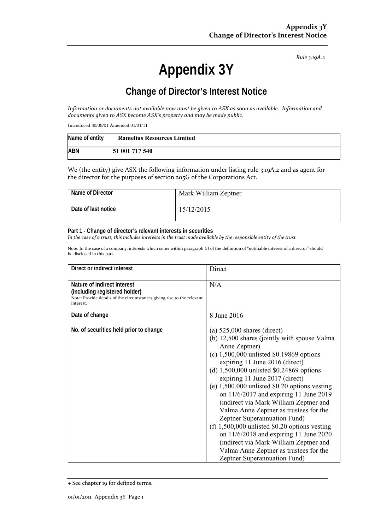*Rule 3.19A.2*

# **Appendix 3Y**

# **Change of Director's Interest Notice**

Information or documents not available now must be given to ASX as soon as available. Information and *documents given to ASX become ASX's property and may be made public.*

Introduced 30/09/01 Amended 01/01/11

| Name of entity | <b>Ramelius Resources Limited</b> |
|----------------|-----------------------------------|
| <b>ABN</b>     | 51 001 717 540                    |

We (the entity) give ASX the following information under listing rule 3.19A.2 and as agent for the director for the purposes of section 205G of the Corporations Act.

| Name of Director    | Mark William Zeptner |
|---------------------|----------------------|
| Date of last notice | 15/12/2015           |

#### **Part 1 - Change of director's relevant interests in securities**

In the case of a trust, this includes interests in the trust made available by the responsible entity of the trust

Note: In the case of a company, interests which come within paragraph (i) of the definition of "notifiable interest of a director" should be disclosed in this part.

| Direct or indirect interest                                                                                                                         | Direct                                                                                                                                                                                                                                                                                                                                                                                                                                                                                                                                                                                                                                                                                               |  |
|-----------------------------------------------------------------------------------------------------------------------------------------------------|------------------------------------------------------------------------------------------------------------------------------------------------------------------------------------------------------------------------------------------------------------------------------------------------------------------------------------------------------------------------------------------------------------------------------------------------------------------------------------------------------------------------------------------------------------------------------------------------------------------------------------------------------------------------------------------------------|--|
| Nature of indirect interest<br>(including registered holder)<br>Note: Provide details of the circumstances giving rise to the relevant<br>interest. | N/A                                                                                                                                                                                                                                                                                                                                                                                                                                                                                                                                                                                                                                                                                                  |  |
| Date of change                                                                                                                                      | 8 June 2016                                                                                                                                                                                                                                                                                                                                                                                                                                                                                                                                                                                                                                                                                          |  |
| No. of securities held prior to change                                                                                                              | (a) $525,000$ shares (direct)<br>(b) 12,500 shares (jointly with spouse Valma<br>Anne Zeptner)<br>(c) $1,500,000$ unlisted \$0.19869 options<br>expiring 11 June 2016 (direct)<br>(d) $1,500,000$ unlisted \$0.24869 options<br>expiring 11 June 2017 (direct)<br>(e) $1,500,000$ unlisted \$0.20 options vesting<br>on $11/6/2017$ and expiring 11 June 2019<br>(indirect via Mark William Zeptner and<br>Valma Anne Zeptner as trustees for the<br>Zeptner Superannuation Fund)<br>(f) $1,500,000$ unlisted \$0.20 options vesting<br>on $11/6/2018$ and expiring 11 June 2020<br>(indirect via Mark William Zeptner and<br>Valma Anne Zeptner as trustees for the<br>Zeptner Superannuation Fund) |  |

<sup>+</sup> See chapter 19 for defined terms.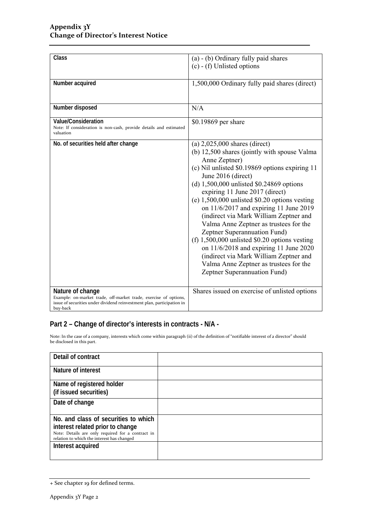| Class                                                                                                                                                                      | (a) - (b) Ordinary fully paid shares<br>$(c)$ - (f) Unlisted options                                                                                                                                                                                                                                                                                                                                                                                                                                                                                                                                                                                                                           |
|----------------------------------------------------------------------------------------------------------------------------------------------------------------------------|------------------------------------------------------------------------------------------------------------------------------------------------------------------------------------------------------------------------------------------------------------------------------------------------------------------------------------------------------------------------------------------------------------------------------------------------------------------------------------------------------------------------------------------------------------------------------------------------------------------------------------------------------------------------------------------------|
| Number acquired                                                                                                                                                            | 1,500,000 Ordinary fully paid shares (direct)                                                                                                                                                                                                                                                                                                                                                                                                                                                                                                                                                                                                                                                  |
| Number disposed                                                                                                                                                            | N/A                                                                                                                                                                                                                                                                                                                                                                                                                                                                                                                                                                                                                                                                                            |
| <b>Value/Consideration</b><br>Note: If consideration is non-cash, provide details and estimated<br>valuation                                                               | \$0.19869 per share                                                                                                                                                                                                                                                                                                                                                                                                                                                                                                                                                                                                                                                                            |
| No. of securities held after change                                                                                                                                        | (a) $2,025,000$ shares (direct)<br>(b) 12,500 shares (jointly with spouse Valma<br>Anne Zeptner)<br>(c) Nil unlisted \$0.19869 options expiring 11<br>June 2016 (direct)<br>(d) $1,500,000$ unlisted \$0.24869 options<br>expiring 11 June 2017 (direct)<br>(e) $1,500,000$ unlisted \$0.20 options vesting<br>on $11/6/2017$ and expiring 11 June 2019<br>(indirect via Mark William Zeptner and<br>Valma Anne Zeptner as trustees for the<br>Zeptner Superannuation Fund)<br>(f) $1,500,000$ unlisted \$0.20 options vesting<br>on $11/6/2018$ and expiring 11 June 2020<br>(indirect via Mark William Zeptner and<br>Valma Anne Zeptner as trustees for the<br>Zeptner Superannuation Fund) |
| Nature of change<br>Example: on-market trade, off-market trade, exercise of options,<br>issue of securities under dividend reinvestment plan, participation in<br>buy-back | Shares issued on exercise of unlisted options                                                                                                                                                                                                                                                                                                                                                                                                                                                                                                                                                                                                                                                  |

### **Part 2 – Change of director's interests in contracts - N/A -**

Note: In the case of a company, interests which come within paragraph (ii) of the definition of "notifiable interest of a director" should be disclosed in this part.

| Detail of contract                                                                              |  |
|-------------------------------------------------------------------------------------------------|--|
| Nature of interest                                                                              |  |
| Name of registered holder<br>(if issued securities)                                             |  |
| Date of change                                                                                  |  |
| No. and class of securities to which                                                            |  |
| interest related prior to change                                                                |  |
| Note: Details are only required for a contract in<br>relation to which the interest has changed |  |
| Interest acquired                                                                               |  |
|                                                                                                 |  |

<sup>+</sup> See chapter 19 for defined terms.